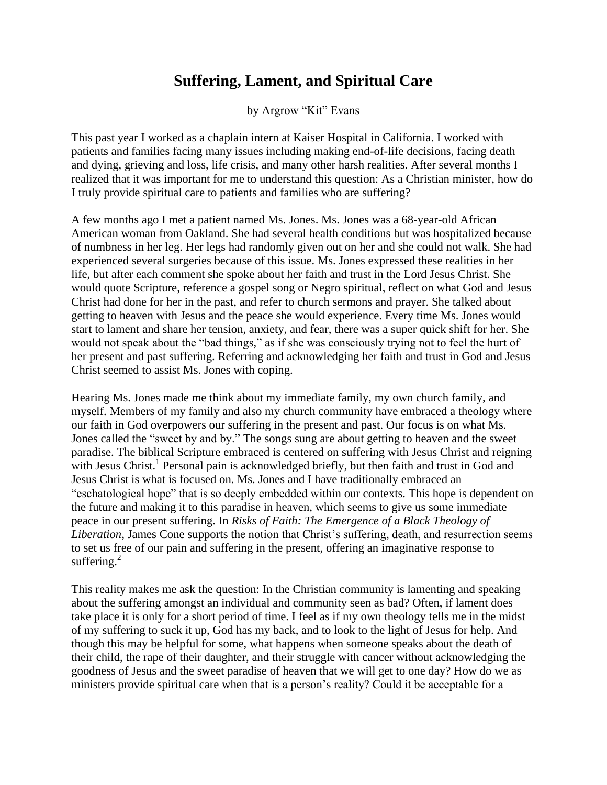## **Suffering, Lament, and Spiritual Care**

by Argrow "Kit" Evans

This past year I worked as a chaplain intern at Kaiser Hospital in California. I worked with patients and families facing many issues including making end-of-life decisions, facing death and dying, grieving and loss, life crisis, and many other harsh realities. After several months I realized that it was important for me to understand this question: As a Christian minister, how do I truly provide spiritual care to patients and families who are suffering?

A few months ago I met a patient named Ms. Jones. Ms. Jones was a 68-year-old African American woman from Oakland. She had several health conditions but was hospitalized because of numbness in her leg. Her legs had randomly given out on her and she could not walk. She had experienced several surgeries because of this issue. Ms. Jones expressed these realities in her life, but after each comment she spoke about her faith and trust in the Lord Jesus Christ. She would quote Scripture, reference a gospel song or Negro spiritual, reflect on what God and Jesus Christ had done for her in the past, and refer to church sermons and prayer. She talked about getting to heaven with Jesus and the peace she would experience. Every time Ms. Jones would start to lament and share her tension, anxiety, and fear, there was a super quick shift for her. She would not speak about the "bad things," as if she was consciously trying not to feel the hurt of her present and past suffering. Referring and acknowledging her faith and trust in God and Jesus Christ seemed to assist Ms. Jones with coping.

Hearing Ms. Jones made me think about my immediate family, my own church family, and myself. Members of my family and also my church community have embraced a theology where our faith in God overpowers our suffering in the present and past. Our focus is on what Ms. Jones called the "sweet by and by." The songs sung are about getting to heaven and the sweet paradise. The biblical Scripture embraced is centered on suffering with Jesus Christ and reigning with Jesus Christ.<sup>1</sup> Personal pain is acknowledged briefly, but then faith and trust in God and Jesus Christ is what is focused on. Ms. Jones and I have traditionally embraced an "eschatological hope" that is so deeply embedded within our contexts. This hope is dependent on the future and making it to this paradise in heaven, which seems to give us some immediate peace in our present suffering. In *Risks of Faith: The Emergence of a Black Theology of Liberation,* James Cone supports the notion that Christ's suffering, death, and resurrection seems to set us free of our pain and suffering in the present, offering an imaginative response to suffering. $2$ 

This reality makes me ask the question: In the Christian community is lamenting and speaking about the suffering amongst an individual and community seen as bad? Often, if lament does take place it is only for a short period of time. I feel as if my own theology tells me in the midst of my suffering to suck it up, God has my back, and to look to the light of Jesus for help. And though this may be helpful for some, what happens when someone speaks about the death of their child, the rape of their daughter, and their struggle with cancer without acknowledging the goodness of Jesus and the sweet paradise of heaven that we will get to one day? How do we as ministers provide spiritual care when that is a person's reality? Could it be acceptable for a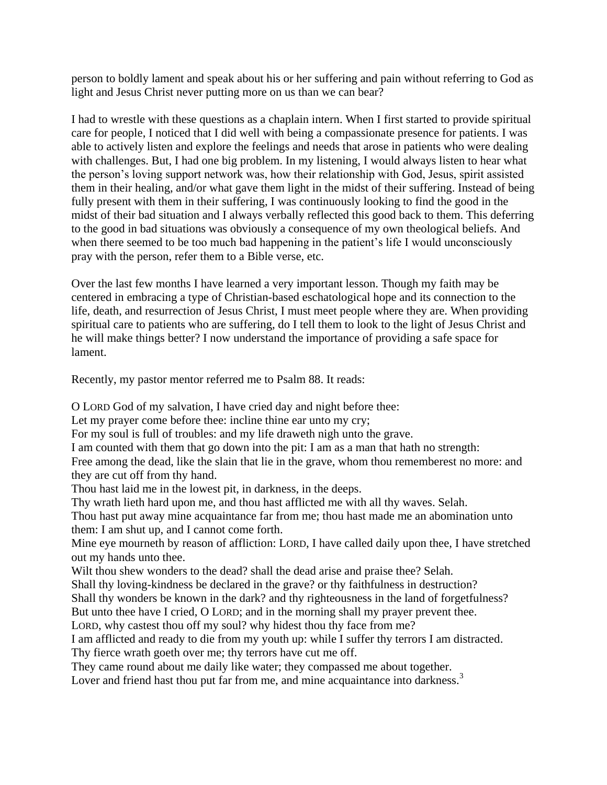person to boldly lament and speak about his or her suffering and pain without referring to God as light and Jesus Christ never putting more on us than we can bear?

I had to wrestle with these questions as a chaplain intern. When I first started to provide spiritual care for people, I noticed that I did well with being a compassionate presence for patients. I was able to actively listen and explore the feelings and needs that arose in patients who were dealing with challenges. But, I had one big problem. In my listening, I would always listen to hear what the person's loving support network was, how their relationship with God, Jesus, spirit assisted them in their healing, and/or what gave them light in the midst of their suffering. Instead of being fully present with them in their suffering, I was continuously looking to find the good in the midst of their bad situation and I always verbally reflected this good back to them. This deferring to the good in bad situations was obviously a consequence of my own theological beliefs. And when there seemed to be too much bad happening in the patient's life I would unconsciously pray with the person, refer them to a Bible verse, etc.

Over the last few months I have learned a very important lesson. Though my faith may be centered in embracing a type of Christian-based eschatological hope and its connection to the life, death, and resurrection of Jesus Christ, I must meet people where they are. When providing spiritual care to patients who are suffering, do I tell them to look to the light of Jesus Christ and he will make things better? I now understand the importance of providing a safe space for lament.

Recently, my pastor mentor referred me to Psalm 88. It reads:

O LORD God of my salvation, I have cried day and night before thee:

Let my prayer come before thee: incline thine ear unto my cry;

For my soul is full of troubles: and my life draweth nigh unto the grave.

I am counted with them that go down into the pit: I am as a man that hath no strength:

Free among the dead, like the slain that lie in the grave, whom thou rememberest no more: and they are cut off from thy hand.

Thou hast laid me in the lowest pit, in darkness, in the deeps.

Thy wrath lieth hard upon me, and thou hast afflicted me with all thy waves. Selah.

Thou hast put away mine acquaintance far from me; thou hast made me an abomination unto them: I am shut up, and I cannot come forth.

Mine eye mourneth by reason of affliction: LORD, I have called daily upon thee, I have stretched out my hands unto thee.

Wilt thou shew wonders to the dead? shall the dead arise and praise thee? Selah.

Shall thy loving-kindness be declared in the grave? or thy faithfulness in destruction?

Shall thy wonders be known in the dark? and thy righteousness in the land of forgetfulness?

But unto thee have I cried, O LORD; and in the morning shall my prayer prevent thee.

LORD, why castest thou off my soul? why hidest thou thy face from me?

I am afflicted and ready to die from my youth up: while I suffer thy terrors I am distracted. Thy fierce wrath goeth over me; thy terrors have cut me off.

They came round about me daily like water; they compassed me about together.

Lover and friend hast thou put far from me, and mine acquaintance into darkness. $3$